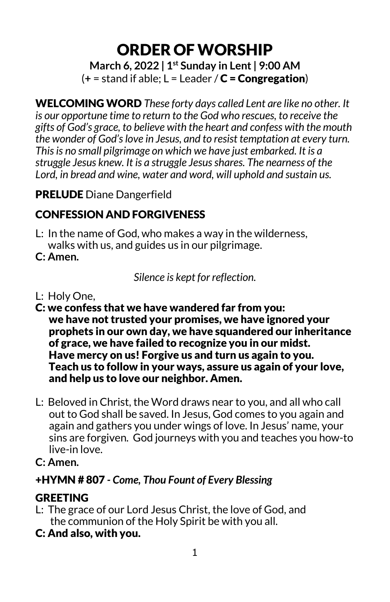ORDER OFWORSHIP

**March 6, 2022 | 1st Sunday in Lent| 9:00 AM**  $(+$  = stand if able;  $L$  = Leader /  $C$  = Congregation)

WELCOMING WORD *These forty days called Lent are like no other. It is our opportune time to return to the God who rescues, to receive the gifts of God's grace, to believe with the heart and confess with the mouth the wonder of God's love in Jesus, and to resist temptation at every turn. This is no small pilgrimage on which we have just embarked. It is a struggle Jesus knew. It is a struggle Jesus shares. The nearness of the Lord, in bread and wine, water and word, will uphold and sustain us.*

### PRELUDE Diane Dangerfield

# CONFESSION AND FORGIVENESS

- L: In the name of God, who makes a way in the wilderness, walks with us, and guides us in our pilgrimage.
- **C: Amen.**

*Silence is kept for reflection.*

- L: Holy One,
- C: we confess that we have wandered far from you: we have not trusted your promises, we have ignored your prophets in our own day, we have squandered our inheritance of grace, we have failed to recognize you in our midst. Have mercy on us! Forgive us and turn us again to you. Teach us to follow in your ways, assure us again of your love, and help us to love our neighbor. Amen.
- L: Beloved in Christ, the Word draws near to you, and all who call out to God shall be saved. In Jesus, God comes to you again and again and gathers you under wings of love. In Jesus' name, your sins are forgiven. God journeys with you and teaches you how-to live-in love.
- **C: Amen.**

## +HYMN # 807 *- Come, Thou Fount of Every Blessing*

## **GREETING**

- L: The grace of our Lord Jesus Christ, the love of God, and the communion of the Holy Spirit be with you all.
- C: And also, with you.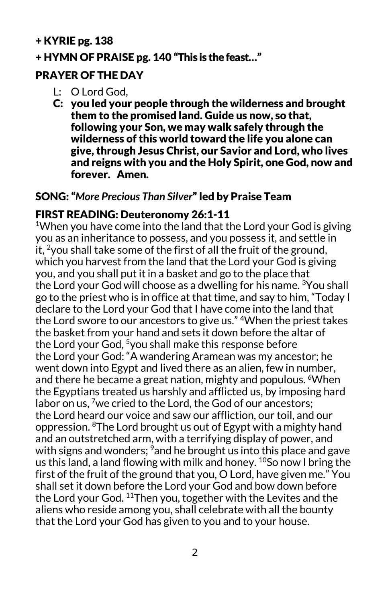### + KYRIE pg. 138

#### + HYMN OF PRAISE pg. 140 "This is the feast…"

### PRAYER OF THE DAY

- L: O Lord God,
- C: you led your people through the wilderness and brought them to the promised land. Guide us now, so that, following your Son, we may walk safely through the wilderness of this world toward the life you alone can give, through Jesus Christ, our Savior and Lord, who lives and reigns with you and the Holy Spirit, one God, now and forever. Amen.

### SONG: "*More Precious Than Silver*" led by Praise Team

### FIRST READING: Deuteronomy 26:1-11

<sup>1</sup>When you have come into the land that the Lord your God is giving you as an inheritance to possess, and you possess it, and settle in it. <sup>2</sup> you shall take some of the first of all the fruit of the ground, which you harvest from the land that the Lord your God is giving you, and you shall put it in a basket and go to the place that the Lord your God will choose as a dwelling for his name. <sup>3</sup>You shall go to the priest who is in office at that time, and say to him, "Today I declare to the Lord your God that I have come into the land that the Lord swore to our ancestors to give us." 4When the priest takes the basket from your hand and sets it down before the altar of the Lord your God, <sup>5</sup>you shall make this response before the Lord your God: "A wandering Aramean was my ancestor; he went down into Egypt and lived there as an alien, few in number, and there he became a great nation, mighty and populous. <sup>6</sup>When the Egyptians treated us harshly and afflicted us, by imposing hard labor on us,  $\frac{7}{1}$  we cried to the Lord, the God of our ancestors; the Lord heard our voice and saw our affliction, our toil, and our oppression. 8The Lord brought us out of Egypt with a mighty hand and an outstretched arm, with a terrifying display of power, and with signs and wonders; <sup>9</sup>and he brought us into this place and gave us this land, a land flowing with milk and honey.  $^{10}$ So now I bring the first of the fruit of the ground that you, O Lord, have given me." You shall set it down before the Lord your God and bow down before the Lord your God. <sup>11</sup>Then you, together with the Levites and the aliens who reside among you, shall celebrate with all the bounty that the Lord your God has given to you and to your house.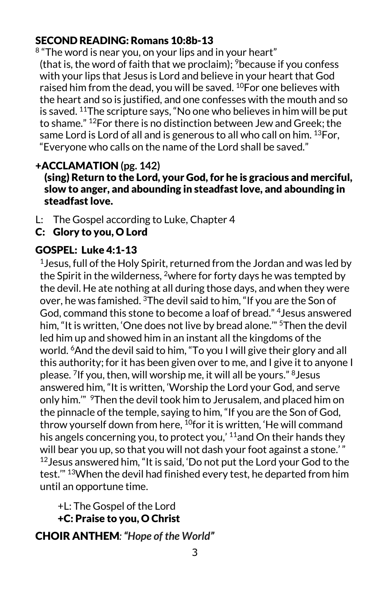### SECOND READING: Romans 10:8b-13

<sup>8</sup> "The word is near you, on your lips and in your heart" (that is, the word of faith that we proclaim);  $9$  because if you confess with your lips that Jesus is Lord and believe in your heart that God raised him from the dead, you will be saved. 10For one believes with the heart and so is justified, and one confesses with the mouth and so is saved. 11The scripture says, "No one who believes in him will be put to shame." 12For there is no distinction between Jew and Greek; the same Lord is Lord of all and is generous to all who call on him. <sup>13</sup> For, "Everyone who calls on the name of the Lord shall be saved."

### +ACCLAMATION **(pg. 142)**

#### (sing) Return to the Lord, your God, for he is gracious and merciful, slow to anger, and abounding in steadfast love, and abounding in steadfast love.

- L: The Gospel according to Luke, Chapter 4
- C: Glory to you, O Lord

### GOSPEL: Luke 4:1-13

 $1$ Jesus, full of the Holy Spirit, returned from the Jordan and was led by the Spirit in the wilderness, <sup>2</sup>where for forty days he was tempted by the devil. He ate nothing at all during those days, and when they were over, he was famished. 3The devil said to him, "If you are the Son of God, command this stone to become a loaf of bread." 4Jesus answered him, "It is written, 'One does not live by bread alone.'" 5Then the devil led him up and showed him in an instant all the kingdoms of the world. 6And the devil said to him, "To you I will give their glory and all this authority; for it has been given over to me, and I give it to anyone I please. 7If you, then, will worship me, it will all be yours." 8Jesus answered him, "It is written, 'Worship the Lord your God, and serve only him." <sup>9</sup>Then the devil took him to Jerusalem, and placed him on the pinnacle of the temple, saying to him, "If you are the Son of God, throw yourself down from here, <sup>10</sup>for it is written, 'He will command his angels concerning you, to protect you,<sup> $11$ </sup> and On their hands they will bear you up, so that you will not dash your foot against a stone.'" 12Jesus answered him, "It is said, 'Do not put the Lord your God to the test.'" 13When the devil had finished every test, he departed from him until an opportune time.

+L: The Gospel of the Lord +C: Praise to you, O Christ

CHOIR ANTHEM*: "Hope of the World"*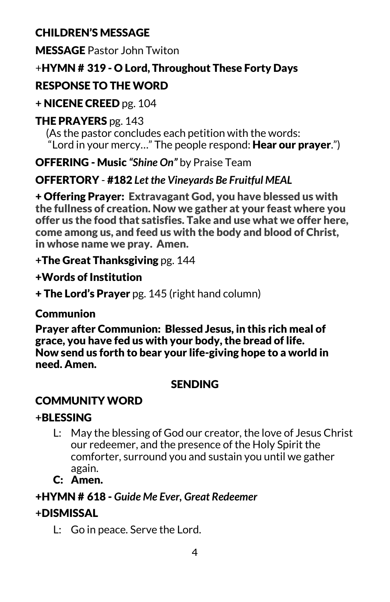## CHILDREN'S MESSAGE

MESSAGE Pastor John Twiton

## +HYMN # 319 - O Lord, Throughout These Forty Days

# RESPONSE TO THE WORD

**+** NICENE CREED pg. 104

## **THE PRAYERS** pg. 143

 (As the pastor concludes each petition with the words: "Lord in your mercy..." The people respond: Hear our prayer.")

OFFERING - Music *"Shine On"* by Praise Team

# OFFERTORY - #182 *Let the Vineyards Be Fruitful MEAL*

+ Offering Prayer: Extravagant God, you have blessed us with the fullness of creation. Now we gather at your feast where you offer us the food that satisfies. Take and use what we offer here, come among us, and feed us with the body and blood of Christ, in whose name we pray. Amen.

**+**The Great Thanksgiving pg. 144

+Words of Institution

+ The Lord's Prayer pg. 145 (right hand column)

## **Communion**

Prayer after Communion: Blessed Jesus, in this rich meal of grace, you have fed us with your body, the bread of life. Now send us forth to bear your life-giving hope to a world in need. Amen.

## SENDING

# COMMUNITY WORD

## **+**BLESSING

- L: May the blessing of God our creator, the love of Jesus Christ our redeemer, and the presence of the Holy Spirit the comforter, surround you and sustain you until we gather again.
- C: Amen.

## +HYMN # 618 - *Guide Me Ever, Great Redeemer*

## **+**DISMISSAL

L: Go in peace. Serve the Lord.